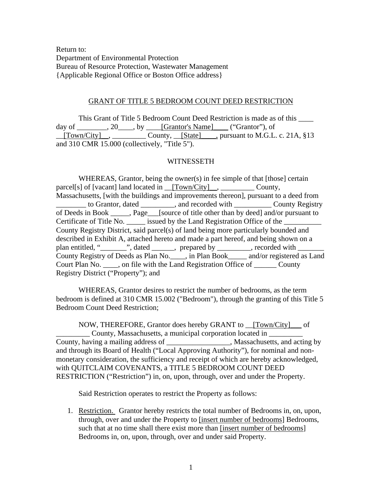Return to: Department of Environmental Protection Bureau of Resource Protection, Wastewater Management {Applicable Regional Office or Boston Office address}

## GRANT OF TITLE 5 BEDROOM COUNT DEED RESTRICTION

 This Grant of Title 5 Bedroom Count Deed Restriction is made as of this \_\_\_\_ day of \_\_\_\_\_\_\_\_, 20\_\_\_\_, by \_\_\_\_[Grantor's Name]\_\_\_\_ ("Grantor"), of  $\underline{\text{Town/City}}$ ,  $\underline{\text{County}}, \underline{\text{State}}$ , pursuant to M.G.L. c. 21A, §13 and 310 CMR 15.000 (collectively, "Title 5").

## WITNESSETH

WHEREAS, Grantor, being the owner(s) in fee simple of that [those] certain parcel[s] of [vacant] land located in \_\_[Town/City]\_\_, \_\_\_\_\_\_\_\_\_\_\_\_ County, Massachusetts, [with the buildings and improvements thereon], pursuant to a deed from \_\_\_\_\_\_\_\_ to Grantor, dated \_\_\_\_\_\_\_\_\_, and recorded with \_\_\_\_\_\_\_\_\_\_ County Registry of Deeds in Book \_\_\_\_\_, Page\_\_\_[source of title other than by deed] and/or pursuant to Certificate of Title No. \_\_\_\_\_\_\_\_ issued by the Land Registration Office of the County Registry District, said parcel(s) of land being more particularly bounded and described in Exhibit A, attached hereto and made a part hereof, and being shown on a plan entitled, "\_\_\_\_\_\_\_", dated \_\_\_\_\_\_, prepared by \_\_\_\_\_\_\_\_\_, recorded with \_\_\_\_\_\_\_ County Registry of Deeds as Plan No.\_\_\_\_, in Plan Book\_\_\_\_\_ and/or registered as Land Court Plan No. \_\_\_\_, on file with the Land Registration Office of \_\_\_\_\_\_ County Registry District ("Property"); and

 WHEREAS, Grantor desires to restrict the number of bedrooms, as the term bedroom is defined at 310 CMR 15.002 ("Bedroom"), through the granting of this Title 5 Bedroom Count Deed Restriction;

NOW, THEREFORE, Grantor does hereby GRANT to \_\_[Town/City]\_\_\_ of County, Massachusetts, a municipal corporation located in County, having a mailing address of \_\_\_\_\_\_\_\_\_\_\_\_\_\_\_\_\_, Massachusetts, and acting by and through its Board of Health ("Local Approving Authority"), for nominal and nonmonetary consideration, the sufficiency and receipt of which are hereby acknowledged, with QUITCLAIM COVENANTS, a TITLE 5 BEDROOM COUNT DEED RESTRICTION ("Restriction") in, on, upon, through, over and under the Property.

Said Restriction operates to restrict the Property as follows:

1. Restriction. Grantor hereby restricts the total number of Bedrooms in, on, upon, through, over and under the Property to [insert number of bedrooms] Bedrooms, such that at no time shall there exist more than [insert number of bedrooms] Bedrooms in, on, upon, through, over and under said Property.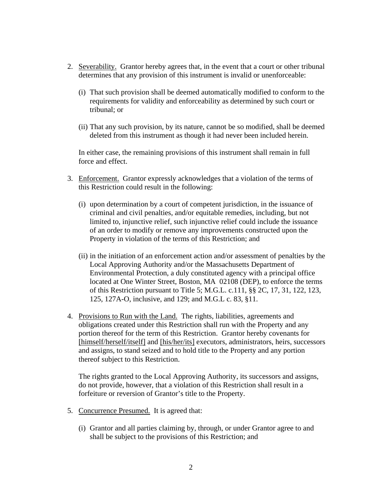- 2. Severability. Grantor hereby agrees that, in the event that a court or other tribunal determines that any provision of this instrument is invalid or unenforceable:
	- (i) That such provision shall be deemed automatically modified to conform to the requirements for validity and enforceability as determined by such court or tribunal; or
	- (ii) That any such provision, by its nature, cannot be so modified, shall be deemed deleted from this instrument as though it had never been included herein.

In either case, the remaining provisions of this instrument shall remain in full force and effect.

- 3. Enforcement. Grantor expressly acknowledges that a violation of the terms of this Restriction could result in the following:
	- (i) upon determination by a court of competent jurisdiction, in the issuance of criminal and civil penalties, and/or equitable remedies, including, but not limited to, injunctive relief, such injunctive relief could include the issuance of an order to modify or remove any improvements constructed upon the Property in violation of the terms of this Restriction; and
	- (ii) in the initiation of an enforcement action and/or assessment of penalties by the Local Approving Authority and/or the Massachusetts Department of Environmental Protection, a duly constituted agency with a principal office located at One Winter Street, Boston, MA 02108 (DEP), to enforce the terms of this Restriction pursuant to Title 5; M.G.L. c.111, §§ 2C, 17, 31, 122, 123, 125, 127A-O, inclusive, and 129; and M.G.L c. 83, §11.
- 4. Provisions to Run with the Land. The rights, liabilities, agreements and obligations created under this Restriction shall run with the Property and any portion thereof for the term of this Restriction. Grantor hereby covenants for [himself/herself/itself] and [his/her/its] executors, administrators, heirs, successors and assigns, to stand seized and to hold title to the Property and any portion thereof subject to this Restriction.

The rights granted to the Local Approving Authority, its successors and assigns, do not provide, however, that a violation of this Restriction shall result in a forfeiture or reversion of Grantor's title to the Property.

- 5. Concurrence Presumed. It is agreed that:
	- (i) Grantor and all parties claiming by, through, or under Grantor agree to and shall be subject to the provisions of this Restriction; and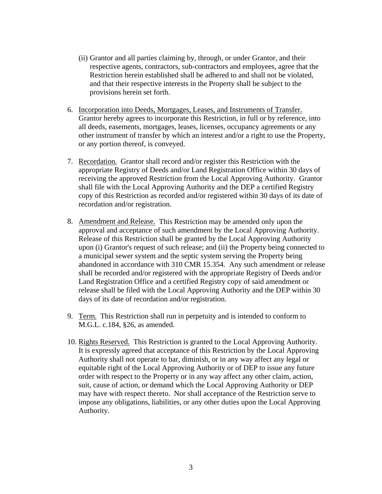- (ii) Grantor and all parties claiming by, through, or under Grantor, and their respective agents, contractors, sub-contractors and employees, agree that the Restriction herein established shall be adhered to and shall not be violated, and that their respective interests in the Property shall be subject to the provisions herein set forth.
- 6. Incorporation into Deeds, Mortgages, Leases, and Instruments of Transfer. Grantor hereby agrees to incorporate this Restriction, in full or by reference, into all deeds, easements, mortgages, leases, licenses, occupancy agreements or any other instrument of transfer by which an interest and/or a right to use the Property, or any portion thereof, is conveyed.
- 7. Recordation. Grantor shall record and/or register this Restriction with the appropriate Registry of Deeds and/or Land Registration Office within 30 days of receiving the approved Restriction from the Local Approving Authority. Grantor shall file with the Local Approving Authority and the DEP a certified Registry copy of this Restriction as recorded and/or registered within 30 days of its date of recordation and/or registration.
- 8. Amendment and Release. This Restriction may be amended only upon the approval and acceptance of such amendment by the Local Approving Authority. Release of this Restriction shall be granted by the Local Approving Authority upon (i) Grantor's request of such release; and (ii) the Property being connected to a municipal sewer system and the septic system serving the Property being abandoned in accordance with 310 CMR 15.354. Any such amendment or release shall be recorded and/or registered with the appropriate Registry of Deeds and/or Land Registration Office and a certified Registry copy of said amendment or release shall be filed with the Local Approving Authority and the DEP within 30 days of its date of recordation and/or registration.
- 9. Term. This Restriction shall run in perpetuity and is intended to conform to M.G.L. c.184, §26, as amended.
- 10. Rights Reserved. This Restriction is granted to the Local Approving Authority. It is expressly agreed that acceptance of this Restriction by the Local Approving Authority shall not operate to bar, diminish, or in any way affect any legal or equitable right of the Local Approving Authority or of DEP to issue any future order with respect to the Property or in any way affect any other claim, action, suit, cause of action, or demand which the Local Approving Authority or DEP may have with respect thereto. Nor shall acceptance of the Restriction serve to impose any obligations, liabilities, or any other duties upon the Local Approving Authority.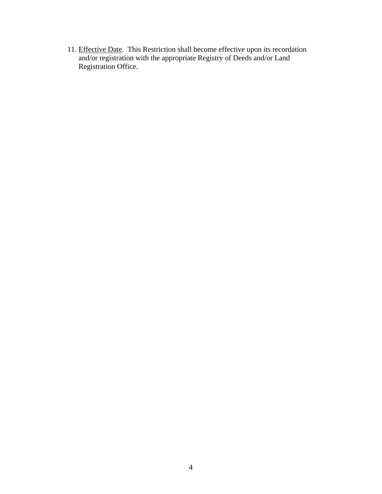11. Effective Date. This Restriction shall become effective upon its recordation and/or registration with the appropriate Registry of Deeds and/or Land Registration Office.